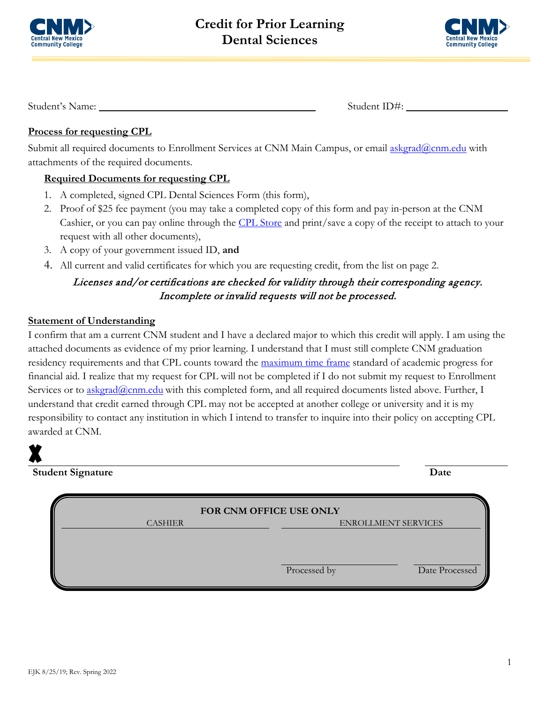



Student's Name: Student ID#:

## **Process for requesting CPL**

Submit all required documents to Enrollment Services at CNM Main Campus, or email [askgrad@cnm.edu](mailto:askgrad@cnm.edu) with attachments of the required documents.

# **Required Documents for requesting CPL**

- 1. A completed, signed CPL Dental Sciences Form (this form),
- 2. Proof of \$25 fee payment (you may take a completed copy of this form and pay in-person at the CNM Cashier, or you can pay online through the [CPL Store](https://secure.touchnet.com/C20016_ustores/web/store_main.jsp?STOREID=2&FROMQRCODE=true) and print/save a copy of the receipt to attach to your request with all other documents),
- 3. A copy of your government issued ID, **and**
- 4. All current and valid certificates for which you are requesting credit, from the list on page 2.

# Licenses and/or certifications are checked for validity through their corresponding agency. Incomplete or invalid requests will not be processed.

### **Statement of Understanding**

I confirm that am a current CNM student and I have a declared major to which this credit will apply. I am using the attached documents as evidence of my prior learning. I understand that I must still complete CNM graduation residency requirements and that CPL counts toward the [maximum time frame](https://www.cnm.edu/depts/financial-aid/requirements/sap) standard of academic progress for financial aid. I realize that my request for CPL will not be completed if I do not submit my request to Enrollment Services or to [askgrad@cnm.edu](mailto:askgrad@cnm.edu) with this completed form, and all required documents listed above. Further, I understand that credit earned through CPL may not be accepted at another college or university and it is my responsibility to contact any institution in which I intend to transfer to inquire into their policy on accepting CPL awarded at CNM.

**Student Signature Date**

| FOR CNM OFFICE USE ONLY |              |                     |  |
|-------------------------|--------------|---------------------|--|
| <b>CASHIER</b>          |              | ENROLLMENT SERVICES |  |
|                         |              |                     |  |
|                         |              |                     |  |
|                         | Processed by | Date Processed      |  |